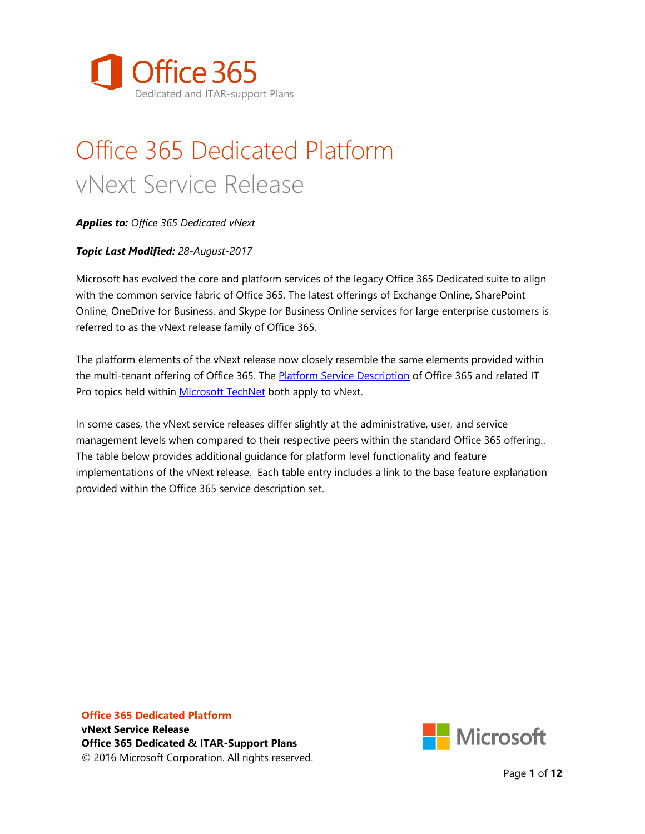

# Office 365 Dedicated Platform vNext Service Release

*Applies to: Office 365 Dedicated vNext*

#### *Topic Last Modified: 28-August-2017*

Microsoft has evolved the core and platform services of the legacy Office 365 Dedicated suite to align with the common service fabric of Office 365. The latest offerings of Exchange Online, SharePoint Online, OneDrive for Business, and Skype for Business Online services for large enterprise customers is referred to as the vNext release family of Office 365.

The platform elements of the vNext release now closely resemble the same elements provided within the multi-tenant offering of Office 365. The [Platform Service Description](http://technet.microsoft.com/en-us/library/office-365-platform-service-description.aspx) of Office 365 and related IT Pro topics held within [Microsoft TechNet](https://technet.microsoft.com/en-us/library/dn127064%28v=office.14%29.aspx) both apply to vNext.

In some cases, the vNext service releases differ slightly at the administrative, user, and service management levels when compared to their respective peers within the standard Office 365 offering.. The table below provides additional guidance for platform level functionality and feature implementations of the vNext release. Each table entry includes a link to the base feature explanation provided within the Office 365 service description set.

**Office 365 Dedicated Platform vNext Service Release Office 365 Dedicated & ITAR-Support Plans** © 2016 Microsoft Corporation. All rights reserved.



Page **1** of **12**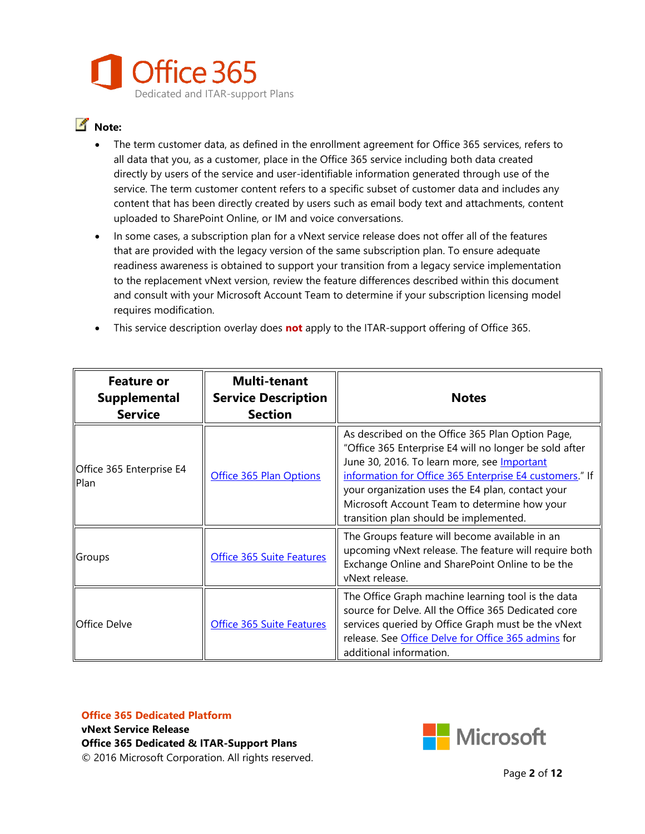

#### **Note:**

- The term customer data, as defined in the enrollment agreement for Office 365 services, refers to all data that you, as a customer, place in the Office 365 service including both data created directly by users of the service and user-identifiable information generated through use of the service. The term customer content refers to a specific subset of customer data and includes any content that has been directly created by users such as email body text and attachments, content uploaded to SharePoint Online, or IM and voice conversations.
- In some cases, a subscription plan for a vNext service release does not offer all of the features that are provided with the legacy version of the same subscription plan. To ensure adequate readiness awareness is obtained to support your transition from a legacy service implementation to the replacement vNext version, review the feature differences described within this document and consult with your Microsoft Account Team to determine if your subscription licensing model requires modification.
- This service description overlay does **not** apply to the ITAR-support offering of Office 365.

| <b>Feature or</b><br>Supplemental<br><b>Service</b> | <b>Multi-tenant</b><br><b>Service Description</b><br><b>Section</b> | <b>Notes</b>                                                                                                                                                                                                                                                                                                                                                              |
|-----------------------------------------------------|---------------------------------------------------------------------|---------------------------------------------------------------------------------------------------------------------------------------------------------------------------------------------------------------------------------------------------------------------------------------------------------------------------------------------------------------------------|
| Office 365 Enterprise E4<br>Plan                    | Office 365 Plan Options                                             | As described on the Office 365 Plan Option Page,<br>"Office 365 Enterprise E4 will no longer be sold after<br>June 30, 2016. To learn more, see <b>Important</b><br>information for Office 365 Enterprise E4 customers." If<br>your organization uses the E4 plan, contact your<br>Microsoft Account Team to determine how your<br>transition plan should be implemented. |
| Groups                                              | Office 365 Suite Features                                           | The Groups feature will become available in an<br>upcoming vNext release. The feature will require both<br>Exchange Online and SharePoint Online to be the<br>vNext release.                                                                                                                                                                                              |
| <b>IOffice Delve</b>                                | Office 365 Suite Features                                           | The Office Graph machine learning tool is the data<br>source for Delve. All the Office 365 Dedicated core<br>services queried by Office Graph must be the vNext<br>release. See Office Delve for Office 365 admins for<br>additional information.                                                                                                                         |

### **Office 365 Dedicated Platform**

**vNext Service Release Office 365 Dedicated & ITAR-Support Plans** © 2016 Microsoft Corporation. All rights reserved.

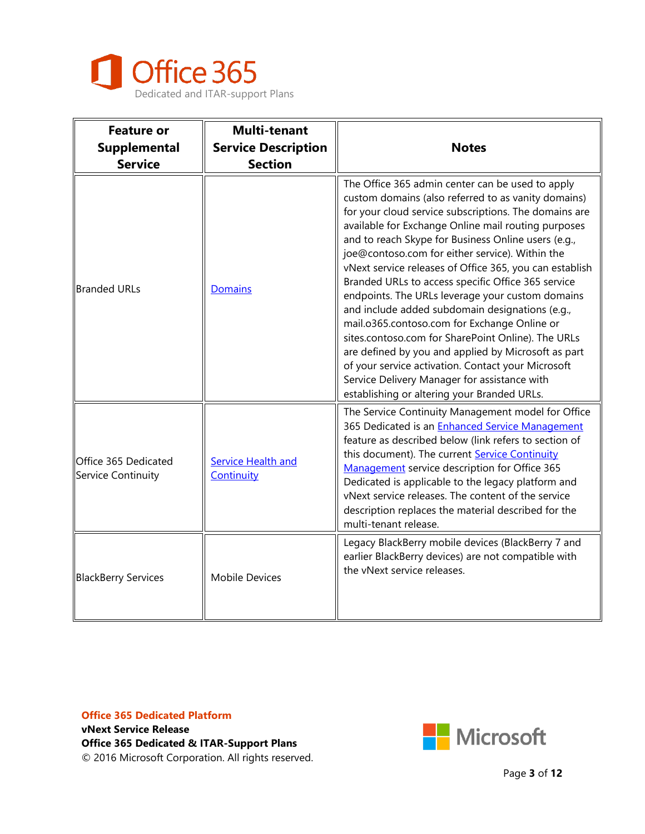

| <b>Feature or</b><br><b>Supplemental</b><br><b>Service</b> | <b>Multi-tenant</b><br><b>Service Description</b><br><b>Section</b> | <b>Notes</b>                                                                                                                                                                                                                                                                                                                                                                                                                                                                                                                                                                                                                                                                                                                                                                                                                                                                |
|------------------------------------------------------------|---------------------------------------------------------------------|-----------------------------------------------------------------------------------------------------------------------------------------------------------------------------------------------------------------------------------------------------------------------------------------------------------------------------------------------------------------------------------------------------------------------------------------------------------------------------------------------------------------------------------------------------------------------------------------------------------------------------------------------------------------------------------------------------------------------------------------------------------------------------------------------------------------------------------------------------------------------------|
| <b>Branded URLs</b>                                        | Domains                                                             | The Office 365 admin center can be used to apply<br>custom domains (also referred to as vanity domains)<br>for your cloud service subscriptions. The domains are<br>available for Exchange Online mail routing purposes<br>and to reach Skype for Business Online users (e.g.,<br>joe@contoso.com for either service). Within the<br>vNext service releases of Office 365, you can establish<br>Branded URLs to access specific Office 365 service<br>endpoints. The URLs leverage your custom domains<br>and include added subdomain designations (e.g.,<br>mail.o365.contoso.com for Exchange Online or<br>sites.contoso.com for SharePoint Online). The URLs<br>are defined by you and applied by Microsoft as part<br>of your service activation. Contact your Microsoft<br>Service Delivery Manager for assistance with<br>establishing or altering your Branded URLs. |
| Office 365 Dedicated<br>Service Continuity                 | <b>Service Health and</b><br>Continuity                             | The Service Continuity Management model for Office<br>365 Dedicated is an <b>Enhanced Service Management</b><br>feature as described below (link refers to section of<br>this document). The current Service Continuity<br>Management service description for Office 365<br>Dedicated is applicable to the legacy platform and<br>vNext service releases. The content of the service<br>description replaces the material described for the<br>multi-tenant release.                                                                                                                                                                                                                                                                                                                                                                                                        |
| <b>BlackBerry Services</b>                                 | <b>Mobile Devices</b>                                               | Legacy BlackBerry mobile devices (BlackBerry 7 and<br>earlier BlackBerry devices) are not compatible with<br>the vNext service releases.                                                                                                                                                                                                                                                                                                                                                                                                                                                                                                                                                                                                                                                                                                                                    |

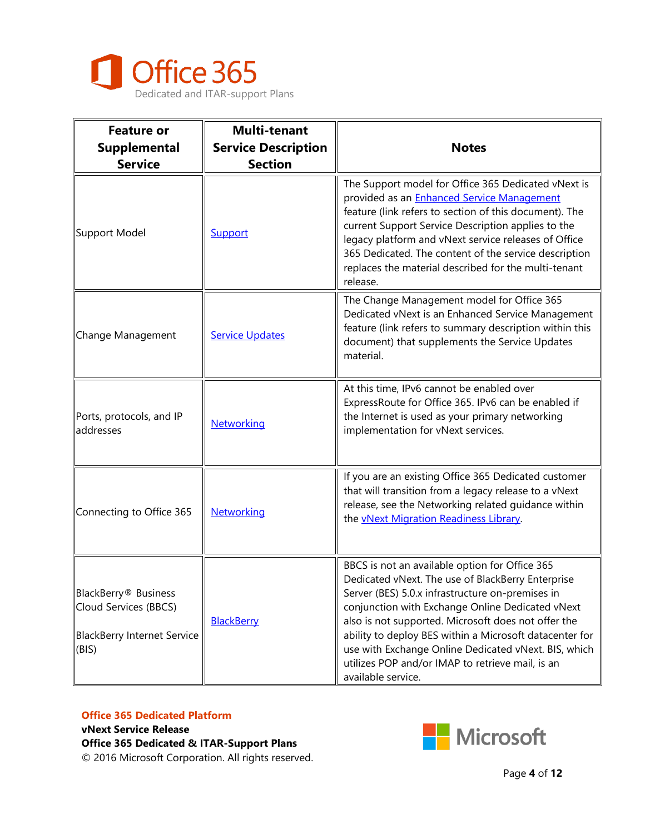

| <b>Feature or</b><br><b>Supplemental</b><br><b>Service</b>                                        | <b>Multi-tenant</b><br><b>Service Description</b><br><b>Section</b> | <b>Notes</b>                                                                                                                                                                                                                                                                                                                                                                                                                                                    |
|---------------------------------------------------------------------------------------------------|---------------------------------------------------------------------|-----------------------------------------------------------------------------------------------------------------------------------------------------------------------------------------------------------------------------------------------------------------------------------------------------------------------------------------------------------------------------------------------------------------------------------------------------------------|
| Support Model                                                                                     | Support                                                             | The Support model for Office 365 Dedicated vNext is<br>provided as an <b>Enhanced Service Management</b><br>feature (link refers to section of this document). The<br>current Support Service Description applies to the<br>legacy platform and vNext service releases of Office<br>365 Dedicated. The content of the service description<br>replaces the material described for the multi-tenant<br>release.                                                   |
| Change Management                                                                                 | <b>Service Updates</b>                                              | The Change Management model for Office 365<br>Dedicated vNext is an Enhanced Service Management<br>feature (link refers to summary description within this<br>document) that supplements the Service Updates<br>material.                                                                                                                                                                                                                                       |
| Ports, protocols, and IP<br>addresses                                                             | <b>Networking</b>                                                   | At this time, IPv6 cannot be enabled over<br>ExpressRoute for Office 365. IPv6 can be enabled if<br>the Internet is used as your primary networking<br>implementation for vNext services.                                                                                                                                                                                                                                                                       |
| Connecting to Office 365                                                                          | Networking                                                          | If you are an existing Office 365 Dedicated customer<br>that will transition from a legacy release to a vNext<br>release, see the Networking related guidance within<br>the <b>vNext Migration Readiness Library</b> .                                                                                                                                                                                                                                          |
| BlackBerry <sup>®</sup> Business<br>Cloud Services (BBCS)<br>BlackBerry Internet Service<br>(BIS) | <b>BlackBerry</b>                                                   | BBCS is not an available option for Office 365<br>Dedicated vNext. The use of BlackBerry Enterprise<br>Server (BES) 5.0.x infrastructure on-premises in<br>conjunction with Exchange Online Dedicated vNext<br>also is not supported. Microsoft does not offer the<br>ability to deploy BES within a Microsoft datacenter for<br>use with Exchange Online Dedicated vNext. BIS, which<br>utilizes POP and/or IMAP to retrieve mail, is an<br>available service. |

### **Office 365 Dedicated Platform**

**vNext Service Release Office 365 Dedicated & ITAR-Support Plans** © 2016 Microsoft Corporation. All rights reserved.

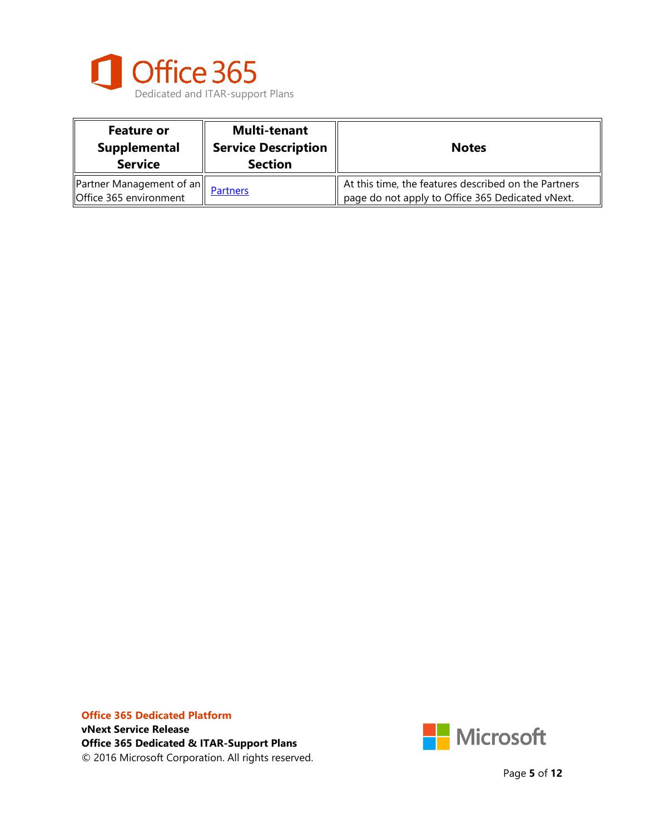

| <b>Feature or</b><br>Supplemental<br><b>Service</b>                     | <b>Multi-tenant</b><br><b>Service Description</b><br><b>Section</b> | <b>Notes</b>                                                                                             |
|-------------------------------------------------------------------------|---------------------------------------------------------------------|----------------------------------------------------------------------------------------------------------|
| $\left\ $ Partner Management of an $\right\ $<br>Office 365 environment | <b>Partners</b>                                                     | At this time, the features described on the Partners<br>page do not apply to Office 365 Dedicated vNext. |



Page **5** of **12**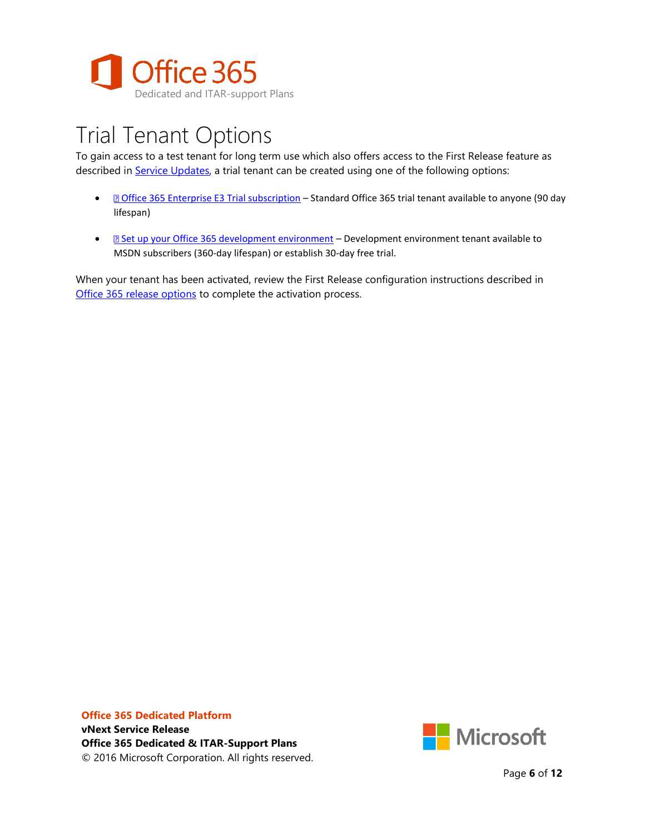

## Trial Tenant Options

To gain access to a test tenant for long term use which also offers access to the First Release feature as described in [Service Updates,](https://technet.microsoft.com/en-us/library/office-365-service-updates.aspx) a trial tenant can be created using one of the following options:

- *[Office 365 Enterprise E3 Trial subscription](https://signup.microsoft.com/Signup?OfferId=B07A1127-DE83-4a6d-9F85-2C104BDAE8B4&dl=ENTERPRISEPACK&culture=en-US&country=US&ali=1#0) Standard Office 365 trial tenant available to anyone (90 day* lifespan)
- **B** [Set up your Office 365 development environment](https://msdn.microsoft.com/en-us/office/office365/howto/setup-development-environment) Development environment tenant available to MSDN subscribers (360-day lifespan) or establish 30-day free trial.

When your tenant has been activated, review the First Release configuration instructions described in [Office 365 release options](https://support.office.com/en-us/article/Set-up-the-Standard-or-First-Release-options-in-Office-365-3B3ADFA4-1777-4FF0-B606-FB8732101F47?ui=en-US&rs=en-US&ad=US) to complete the activation process.

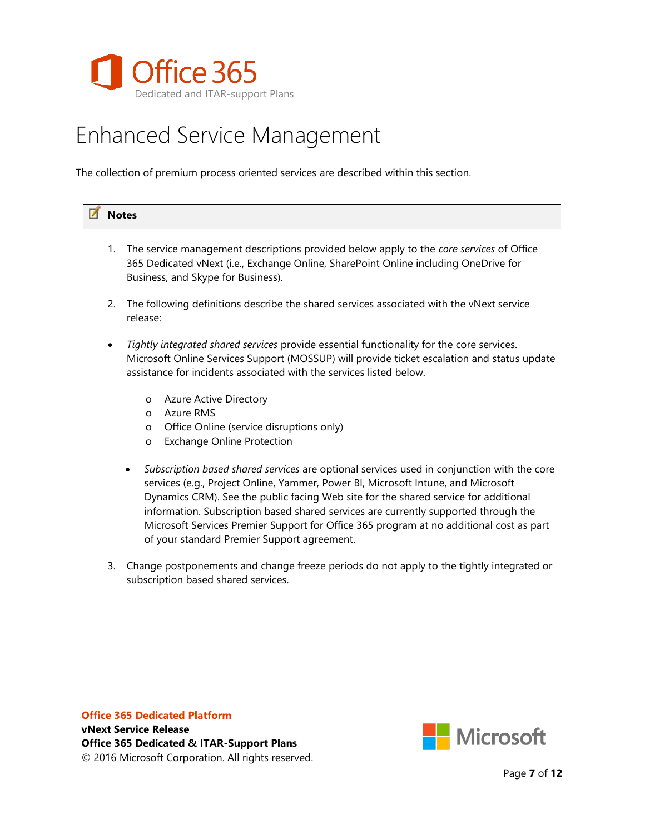

## <span id="page-6-0"></span>Enhanced Service Management

The collection of premium process oriented services are described within this section.

|           | <b>Notes</b>                                                                                                                                                                                                                                                                                                                                                                                                                                                                                                         |  |
|-----------|----------------------------------------------------------------------------------------------------------------------------------------------------------------------------------------------------------------------------------------------------------------------------------------------------------------------------------------------------------------------------------------------------------------------------------------------------------------------------------------------------------------------|--|
| 1.        | The service management descriptions provided below apply to the <i>core services</i> of Office<br>365 Dedicated vNext (i.e., Exchange Online, SharePoint Online including OneDrive for<br>Business, and Skype for Business).                                                                                                                                                                                                                                                                                         |  |
| 2.        | The following definitions describe the shared services associated with the vNext service<br>release:                                                                                                                                                                                                                                                                                                                                                                                                                 |  |
| $\bullet$ | Tightly integrated shared services provide essential functionality for the core services.<br>Microsoft Online Services Support (MOSSUP) will provide ticket escalation and status update<br>assistance for incidents associated with the services listed below.                                                                                                                                                                                                                                                      |  |
|           | <b>Azure Active Directory</b><br>O<br>Azure RMS<br>$\Omega$<br>Office Online (service disruptions only)<br>O<br><b>Exchange Online Protection</b><br>O                                                                                                                                                                                                                                                                                                                                                               |  |
|           | Subscription based shared services are optional services used in conjunction with the core<br>$\bullet$<br>services (e.g., Project Online, Yammer, Power BI, Microsoft Intune, and Microsoft<br>Dynamics CRM). See the public facing Web site for the shared service for additional<br>information. Subscription based shared services are currently supported through the<br>Microsoft Services Premier Support for Office 365 program at no additional cost as part<br>of your standard Premier Support agreement. |  |
| 3.        | Change postponements and change freeze periods do not apply to the tightly integrated or<br>subscription based shared services.                                                                                                                                                                                                                                                                                                                                                                                      |  |

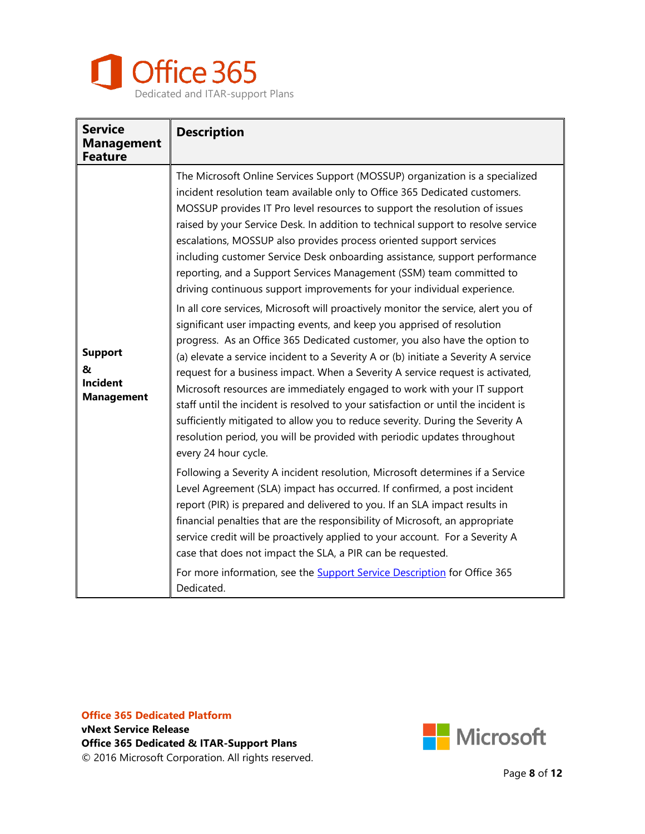

| <b>Service</b><br><b>Management</b><br><b>Feature</b>       | <b>Description</b>                                                                                                                                                                                                                                                                                                                                                                                                                                                                                                                                                                                                                                                                                                                                                                                                                                                                                                                                                                                                                                                                                                                                                                                                                                                                                                                                                                                                                                                                                                                                                                                                                                                                                                                                                                                                                                                                          |
|-------------------------------------------------------------|---------------------------------------------------------------------------------------------------------------------------------------------------------------------------------------------------------------------------------------------------------------------------------------------------------------------------------------------------------------------------------------------------------------------------------------------------------------------------------------------------------------------------------------------------------------------------------------------------------------------------------------------------------------------------------------------------------------------------------------------------------------------------------------------------------------------------------------------------------------------------------------------------------------------------------------------------------------------------------------------------------------------------------------------------------------------------------------------------------------------------------------------------------------------------------------------------------------------------------------------------------------------------------------------------------------------------------------------------------------------------------------------------------------------------------------------------------------------------------------------------------------------------------------------------------------------------------------------------------------------------------------------------------------------------------------------------------------------------------------------------------------------------------------------------------------------------------------------------------------------------------------------|
| <b>Support</b><br>&<br><b>Incident</b><br><b>Management</b> | The Microsoft Online Services Support (MOSSUP) organization is a specialized<br>incident resolution team available only to Office 365 Dedicated customers.<br>MOSSUP provides IT Pro level resources to support the resolution of issues<br>raised by your Service Desk. In addition to technical support to resolve service<br>escalations, MOSSUP also provides process oriented support services<br>including customer Service Desk onboarding assistance, support performance<br>reporting, and a Support Services Management (SSM) team committed to<br>driving continuous support improvements for your individual experience.<br>In all core services, Microsoft will proactively monitor the service, alert you of<br>significant user impacting events, and keep you apprised of resolution<br>progress. As an Office 365 Dedicated customer, you also have the option to<br>(a) elevate a service incident to a Severity A or (b) initiate a Severity A service<br>request for a business impact. When a Severity A service request is activated,<br>Microsoft resources are immediately engaged to work with your IT support<br>staff until the incident is resolved to your satisfaction or until the incident is<br>sufficiently mitigated to allow you to reduce severity. During the Severity A<br>resolution period, you will be provided with periodic updates throughout<br>every 24 hour cycle.<br>Following a Severity A incident resolution, Microsoft determines if a Service<br>Level Agreement (SLA) impact has occurred. If confirmed, a post incident<br>report (PIR) is prepared and delivered to you. If an SLA impact results in<br>financial penalties that are the responsibility of Microsoft, an appropriate<br>service credit will be proactively applied to your account. For a Severity A<br>case that does not impact the SLA, a PIR can be requested. |
|                                                             | For more information, see the <b>Support Service Description</b> for Office 365<br>Dedicated.                                                                                                                                                                                                                                                                                                                                                                                                                                                                                                                                                                                                                                                                                                                                                                                                                                                                                                                                                                                                                                                                                                                                                                                                                                                                                                                                                                                                                                                                                                                                                                                                                                                                                                                                                                                               |

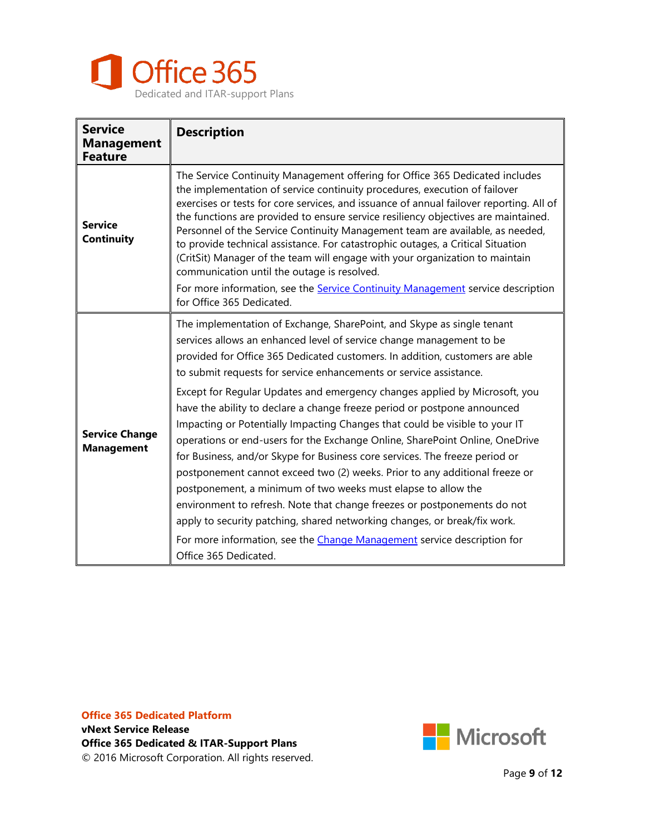

| <b>Service</b><br><b>Management</b><br><b>Feature</b> | <b>Description</b>                                                                                                                                                                                                                                                                                                                                                                                                                                                                                                                                                                                                                                                                                                                                                                                                                                                                                                                                                                                                                                                                                                        |
|-------------------------------------------------------|---------------------------------------------------------------------------------------------------------------------------------------------------------------------------------------------------------------------------------------------------------------------------------------------------------------------------------------------------------------------------------------------------------------------------------------------------------------------------------------------------------------------------------------------------------------------------------------------------------------------------------------------------------------------------------------------------------------------------------------------------------------------------------------------------------------------------------------------------------------------------------------------------------------------------------------------------------------------------------------------------------------------------------------------------------------------------------------------------------------------------|
| <b>Service</b><br>Continuity                          | The Service Continuity Management offering for Office 365 Dedicated includes<br>the implementation of service continuity procedures, execution of failover<br>exercises or tests for core services, and issuance of annual failover reporting. All of<br>the functions are provided to ensure service resiliency objectives are maintained.<br>Personnel of the Service Continuity Management team are available, as needed,<br>to provide technical assistance. For catastrophic outages, a Critical Situation<br>(CritSit) Manager of the team will engage with your organization to maintain<br>communication until the outage is resolved.<br>For more information, see the Service Continuity Management service description<br>for Office 365 Dedicated.                                                                                                                                                                                                                                                                                                                                                            |
| <b>Service Change</b><br><b>Management</b>            | The implementation of Exchange, SharePoint, and Skype as single tenant<br>services allows an enhanced level of service change management to be<br>provided for Office 365 Dedicated customers. In addition, customers are able<br>to submit requests for service enhancements or service assistance.<br>Except for Regular Updates and emergency changes applied by Microsoft, you<br>have the ability to declare a change freeze period or postpone announced<br>Impacting or Potentially Impacting Changes that could be visible to your IT<br>operations or end-users for the Exchange Online, SharePoint Online, OneDrive<br>for Business, and/or Skype for Business core services. The freeze period or<br>postponement cannot exceed two (2) weeks. Prior to any additional freeze or<br>postponement, a minimum of two weeks must elapse to allow the<br>environment to refresh. Note that change freezes or postponements do not<br>apply to security patching, shared networking changes, or break/fix work.<br>For more information, see the Change Management service description for<br>Office 365 Dedicated. |

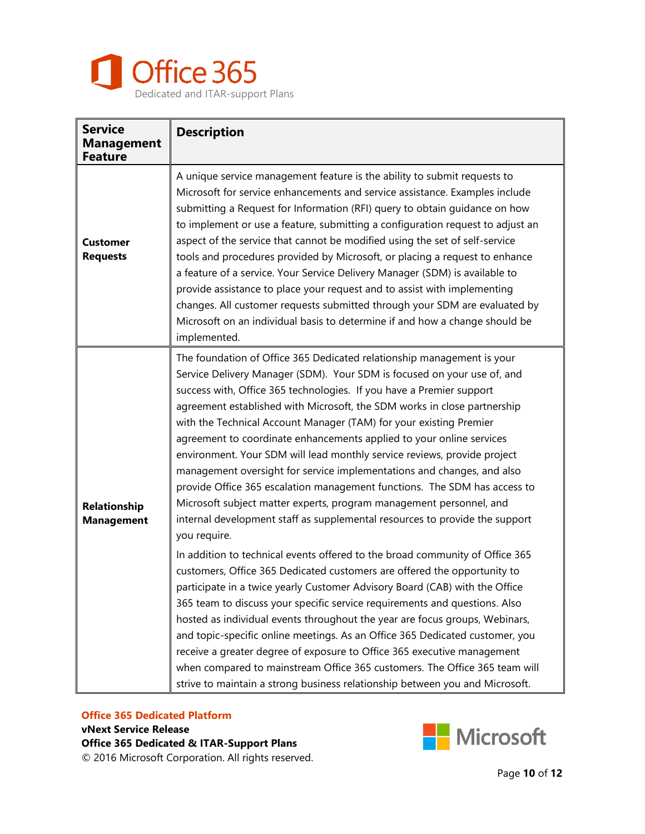

| <b>Service</b><br><b>Management</b><br><b>Feature</b> | <b>Description</b>                                                                                                                                                                                                                                                                                                                                                                                                                                                                                                                                                                                                                                                                                                                                                                                                                                           |
|-------------------------------------------------------|--------------------------------------------------------------------------------------------------------------------------------------------------------------------------------------------------------------------------------------------------------------------------------------------------------------------------------------------------------------------------------------------------------------------------------------------------------------------------------------------------------------------------------------------------------------------------------------------------------------------------------------------------------------------------------------------------------------------------------------------------------------------------------------------------------------------------------------------------------------|
| <b>Customer</b><br><b>Requests</b>                    | A unique service management feature is the ability to submit requests to<br>Microsoft for service enhancements and service assistance. Examples include<br>submitting a Request for Information (RFI) query to obtain guidance on how<br>to implement or use a feature, submitting a configuration request to adjust an<br>aspect of the service that cannot be modified using the set of self-service<br>tools and procedures provided by Microsoft, or placing a request to enhance<br>a feature of a service. Your Service Delivery Manager (SDM) is available to<br>provide assistance to place your request and to assist with implementing<br>changes. All customer requests submitted through your SDM are evaluated by<br>Microsoft on an individual basis to determine if and how a change should be<br>implemented.                                |
| Relationship<br><b>Management</b>                     | The foundation of Office 365 Dedicated relationship management is your<br>Service Delivery Manager (SDM). Your SDM is focused on your use of, and<br>success with, Office 365 technologies. If you have a Premier support<br>agreement established with Microsoft, the SDM works in close partnership<br>with the Technical Account Manager (TAM) for your existing Premier<br>agreement to coordinate enhancements applied to your online services<br>environment. Your SDM will lead monthly service reviews, provide project<br>management oversight for service implementations and changes, and also<br>provide Office 365 escalation management functions. The SDM has access to<br>Microsoft subject matter experts, program management personnel, and<br>internal development staff as supplemental resources to provide the support<br>you require. |
|                                                       | In addition to technical events offered to the broad community of Office 365<br>customers, Office 365 Dedicated customers are offered the opportunity to<br>participate in a twice yearly Customer Advisory Board (CAB) with the Office<br>365 team to discuss your specific service requirements and questions. Also<br>hosted as individual events throughout the year are focus groups, Webinars,<br>and topic-specific online meetings. As an Office 365 Dedicated customer, you<br>receive a greater degree of exposure to Office 365 executive management<br>when compared to mainstream Office 365 customers. The Office 365 team will<br>strive to maintain a strong business relationship between you and Microsoft.                                                                                                                                |

#### **Office 365 Dedicated Platform vNext Service Release**

**Office 365 Dedicated & ITAR-Support Plans** © 2016 Microsoft Corporation. All rights reserved.

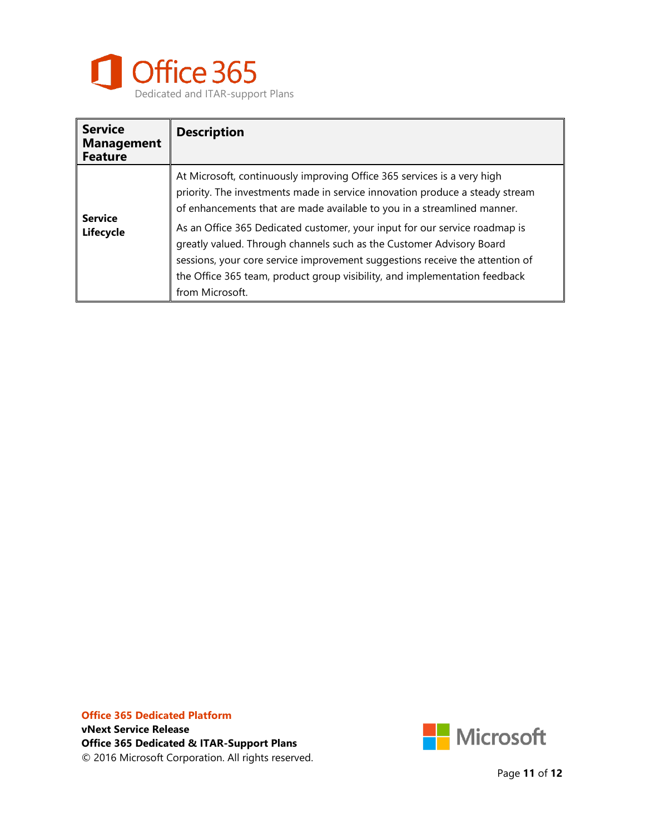

| <b>Service</b><br><b>Management</b><br><b>Feature</b> | <b>Description</b>                                                                                                                                                                                                                                                                                                                                                                                                                                                                                                                                                        |
|-------------------------------------------------------|---------------------------------------------------------------------------------------------------------------------------------------------------------------------------------------------------------------------------------------------------------------------------------------------------------------------------------------------------------------------------------------------------------------------------------------------------------------------------------------------------------------------------------------------------------------------------|
| <b>Service</b><br>Lifecycle                           | At Microsoft, continuously improving Office 365 services is a very high<br>priority. The investments made in service innovation produce a steady stream<br>of enhancements that are made available to you in a streamlined manner.<br>As an Office 365 Dedicated customer, your input for our service roadmap is<br>greatly valued. Through channels such as the Customer Advisory Board<br>sessions, your core service improvement suggestions receive the attention of<br>the Office 365 team, product group visibility, and implementation feedback<br>from Microsoft. |



Page **11** of **12**